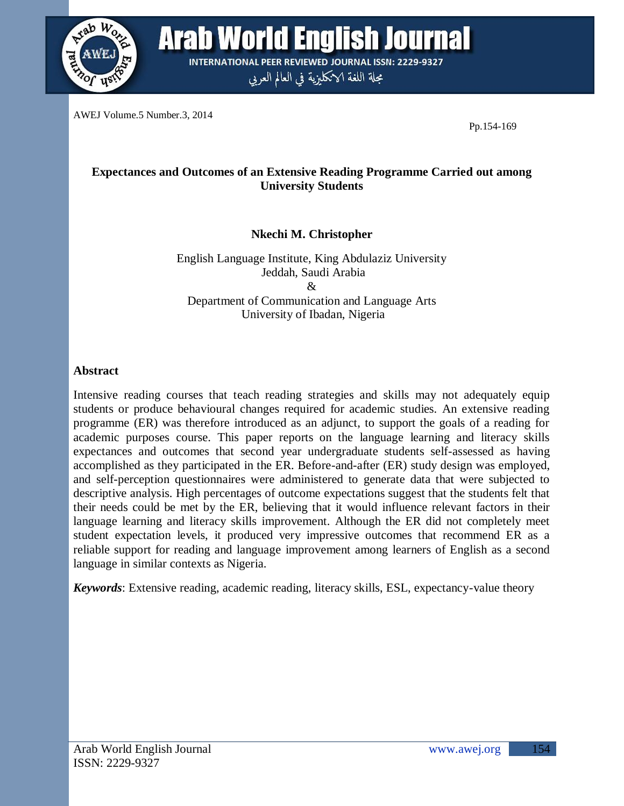

**Arab World English Journal INTERNATIONAL PEER REVIEWED JOURNAL ISSN: 2229-9327** 

مجلة اللغة الانكليزية في العالم العربي

AWEJ Volume.5 Number.3, 2014

Pp.154-169

# **Expectances and Outcomes of an Extensive Reading Programme Carried out among University Students**

**Nkechi M. Christopher**

English Language Institute, King Abdulaziz University Jeddah, Saudi Arabia  $\mathcal{R}_{\mathcal{L}}$ Department of Communication and Language Arts University of Ibadan, Nigeria

## **Abstract**

Intensive reading courses that teach reading strategies and skills may not adequately equip students or produce behavioural changes required for academic studies. An extensive reading programme (ER) was therefore introduced as an adjunct, to support the goals of a reading for academic purposes course. This paper reports on the language learning and literacy skills expectances and outcomes that second year undergraduate students self-assessed as having accomplished as they participated in the ER. Before-and-after (ER) study design was employed, and self-perception questionnaires were administered to generate data that were subjected to descriptive analysis. High percentages of outcome expectations suggest that the students felt that their needs could be met by the ER, believing that it would influence relevant factors in their language learning and literacy skills improvement. Although the ER did not completely meet student expectation levels, it produced very impressive outcomes that recommend ER as a reliable support for reading and language improvement among learners of English as a second language in similar contexts as Nigeria.

*Keywords*: Extensive reading, academic reading, literacy skills, ESL, expectancy-value theory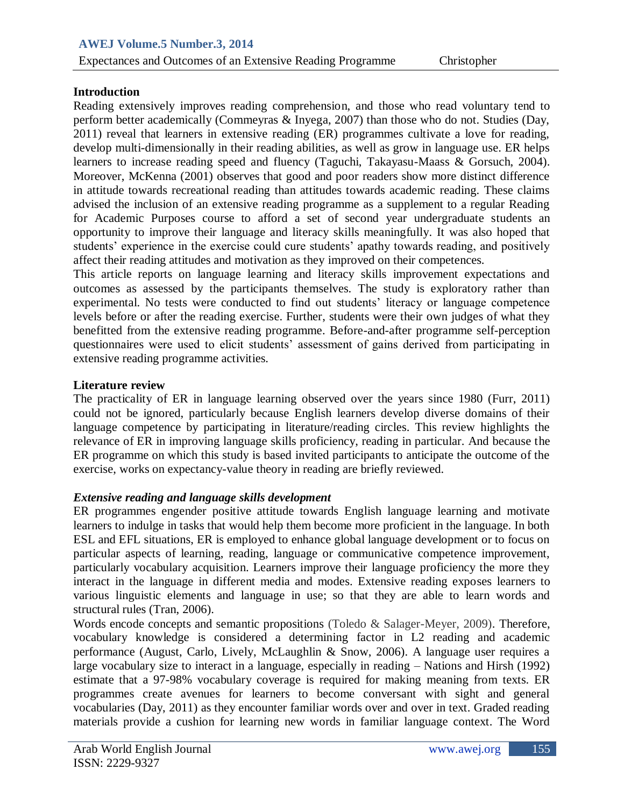## **Introduction**

Reading extensively improves reading comprehension, and those who read voluntary tend to perform better academically (Commeyras & Inyega, 2007) than those who do not. Studies (Day, 2011) reveal that learners in extensive reading (ER) programmes cultivate a love for reading, develop multi-dimensionally in their reading abilities, as well as grow in language use. ER helps learners to increase reading speed and fluency (Taguchi, Takayasu-Maass & Gorsuch, 2004). Moreover, McKenna (2001) observes that good and poor readers show more distinct difference in attitude towards recreational reading than attitudes towards academic reading. These claims advised the inclusion of an extensive reading programme as a supplement to a regular Reading for Academic Purposes course to afford a set of second year undergraduate students an opportunity to improve their language and literacy skills meaningfully. It was also hoped that students' experience in the exercise could cure students' apathy towards reading, and positively affect their reading attitudes and motivation as they improved on their competences.

This article reports on language learning and literacy skills improvement expectations and outcomes as assessed by the participants themselves. The study is exploratory rather than experimental. No tests were conducted to find out students' literacy or language competence levels before or after the reading exercise. Further, students were their own judges of what they benefitted from the extensive reading programme. Before-and-after programme self-perception questionnaires were used to elicit students' assessment of gains derived from participating in extensive reading programme activities.

## **Literature review**

The practicality of ER in language learning observed over the years since 1980 (Furr, 2011) could not be ignored, particularly because English learners develop diverse domains of their language competence by participating in literature/reading circles. This review highlights the relevance of ER in improving language skills proficiency, reading in particular. And because the ER programme on which this study is based invited participants to anticipate the outcome of the exercise, works on expectancy-value theory in reading are briefly reviewed.

# *Extensive reading and language skills development*

ER programmes engender positive attitude towards English language learning and motivate learners to indulge in tasks that would help them become more proficient in the language. In both ESL and EFL situations, ER is employed to enhance global language development or to focus on particular aspects of learning, reading, language or communicative competence improvement, particularly vocabulary acquisition. Learners improve their language proficiency the more they interact in the language in different media and modes. Extensive reading exposes learners to various linguistic elements and language in use; so that they are able to learn words and structural rules (Tran, 2006).

Words encode concepts and semantic propositions (Toledo & Salager-Meyer, 2009). Therefore, vocabulary knowledge is considered a determining factor in L2 reading and academic performance (August, Carlo, Lively, McLaughlin & Snow, 2006). A language user requires a large vocabulary size to interact in a language, especially in reading – Nations and Hirsh (1992) estimate that a 97-98% vocabulary coverage is required for making meaning from texts. ER programmes create avenues for learners to become conversant with sight and general vocabularies (Day, 2011) as they encounter familiar words over and over in text. Graded reading materials provide a cushion for learning new words in familiar language context. The Word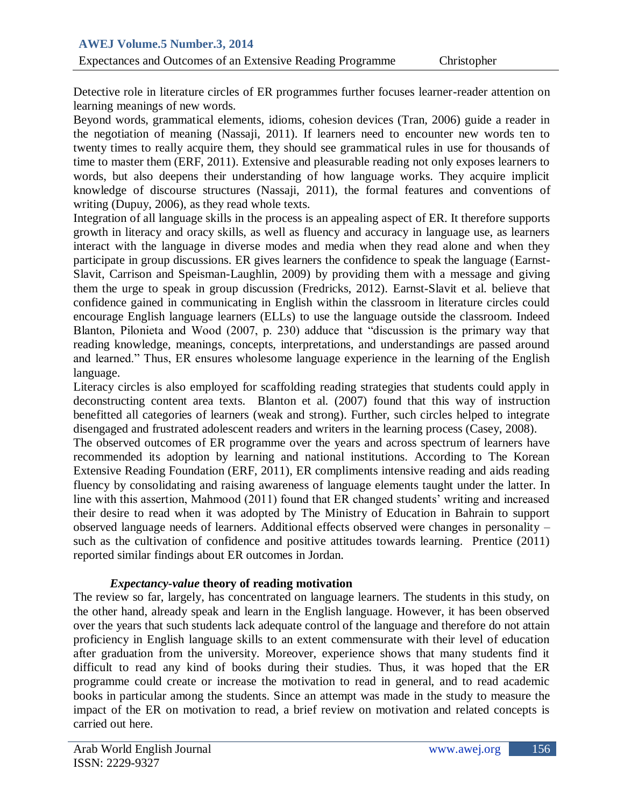Detective role in literature circles of ER programmes further focuses learner-reader attention on learning meanings of new words.

Beyond words, grammatical elements, idioms, cohesion devices (Tran, 2006) guide a reader in the negotiation of meaning (Nassaji, 2011). If learners need to encounter new words ten to twenty times to really acquire them, they should see grammatical rules in use for thousands of time to master them (ERF, 2011). Extensive and pleasurable reading not only exposes learners to words, but also deepens their understanding of how language works. They acquire implicit knowledge of discourse structures (Nassaji, 2011), the formal features and conventions of writing (Dupuy, 2006), as they read whole texts.

Integration of all language skills in the process is an appealing aspect of ER. It therefore supports growth in literacy and oracy skills, as well as fluency and accuracy in language use, as learners interact with the language in diverse modes and media when they read alone and when they participate in group discussions. ER gives learners the confidence to speak the language (Earnst-Slavit, Carrison and Speisman-Laughlin, 2009) by providing them with a message and giving them the urge to speak in group discussion (Fredricks, 2012). Earnst-Slavit et al. believe that confidence gained in communicating in English within the classroom in literature circles could encourage English language learners (ELLs) to use the language outside the classroom. Indeed Blanton, Pilonieta and Wood (2007, p. 230) adduce that "discussion is the primary way that reading knowledge, meanings, concepts, interpretations, and understandings are passed around and learned." Thus, ER ensures wholesome language experience in the learning of the English language.

Literacy circles is also employed for scaffolding reading strategies that students could apply in deconstructing content area texts. Blanton et al. (2007) found that this way of instruction benefitted all categories of learners (weak and strong). Further, such circles helped to integrate disengaged and frustrated adolescent readers and writers in the learning process (Casey, 2008).

The observed outcomes of ER programme over the years and across spectrum of learners have recommended its adoption by learning and national institutions. According to The Korean Extensive Reading Foundation (ERF, 2011), ER compliments intensive reading and aids reading fluency by consolidating and raising awareness of language elements taught under the latter. In line with this assertion, Mahmood (2011) found that ER changed students' writing and increased their desire to read when it was adopted by The Ministry of Education in Bahrain to support observed language needs of learners. Additional effects observed were changes in personality – such as the cultivation of confidence and positive attitudes towards learning. Prentice (2011) reported similar findings about ER outcomes in Jordan.

## *Expectancy-value* **theory of reading motivation**

The review so far, largely, has concentrated on language learners. The students in this study, on the other hand, already speak and learn in the English language. However, it has been observed over the years that such students lack adequate control of the language and therefore do not attain proficiency in English language skills to an extent commensurate with their level of education after graduation from the university. Moreover, experience shows that many students find it difficult to read any kind of books during their studies. Thus, it was hoped that the ER programme could create or increase the motivation to read in general, and to read academic books in particular among the students. Since an attempt was made in the study to measure the impact of the ER on motivation to read, a brief review on motivation and related concepts is carried out here.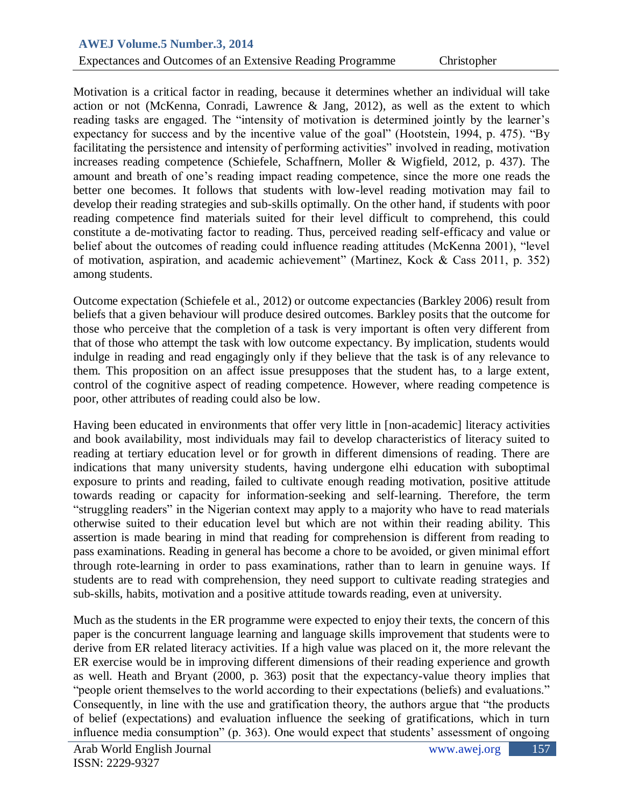## Expectances and Outcomes of an Extensive Reading Programme Christopher

Motivation is a critical factor in reading, because it determines whether an individual will take action or not (McKenna, Conradi, Lawrence & Jang, 2012), as well as the extent to which reading tasks are engaged. The "intensity of motivation is determined jointly by the learner's expectancy for success and by the incentive value of the goal" (Hootstein, 1994, p. 475). "By facilitating the persistence and intensity of performing activities" involved in reading, motivation increases reading competence (Schiefele, Schaffnern, Moller & Wigfield, 2012, p. 437). The amount and breath of one's reading impact reading competence, since the more one reads the better one becomes. It follows that students with low-level reading motivation may fail to develop their reading strategies and sub-skills optimally. On the other hand, if students with poor reading competence find materials suited for their level difficult to comprehend, this could constitute a de-motivating factor to reading. Thus, perceived reading self-efficacy and value or belief about the outcomes of reading could influence reading attitudes (McKenna 2001), "level of motivation, aspiration, and academic achievement" (Martinez, Kock & Cass 2011, p. 352) among students.

Outcome expectation (Schiefele et al., 2012) or outcome expectancies (Barkley 2006) result from beliefs that a given behaviour will produce desired outcomes. Barkley posits that the outcome for those who perceive that the completion of a task is very important is often very different from that of those who attempt the task with low outcome expectancy. By implication, students would indulge in reading and read engagingly only if they believe that the task is of any relevance to them. This proposition on an affect issue presupposes that the student has, to a large extent, control of the cognitive aspect of reading competence. However, where reading competence is poor, other attributes of reading could also be low.

Having been educated in environments that offer very little in [non-academic] literacy activities and book availability, most individuals may fail to develop characteristics of literacy suited to reading at tertiary education level or for growth in different dimensions of reading. There are indications that many university students, having undergone elhi education with suboptimal exposure to prints and reading, failed to cultivate enough reading motivation, positive attitude towards reading or capacity for information-seeking and self-learning. Therefore, the term "struggling readers" in the Nigerian context may apply to a majority who have to read materials otherwise suited to their education level but which are not within their reading ability. This assertion is made bearing in mind that reading for comprehension is different from reading to pass examinations. Reading in general has become a chore to be avoided, or given minimal effort through rote-learning in order to pass examinations, rather than to learn in genuine ways. If students are to read with comprehension, they need support to cultivate reading strategies and sub-skills, habits, motivation and a positive attitude towards reading, even at university.

Much as the students in the ER programme were expected to enjoy their texts, the concern of this paper is the concurrent language learning and language skills improvement that students were to derive from ER related literacy activities. If a high value was placed on it, the more relevant the ER exercise would be in improving different dimensions of their reading experience and growth as well. Heath and Bryant (2000, p. 363) posit that the expectancy-value theory implies that "people orient themselves to the world according to their expectations (beliefs) and evaluations." Consequently, in line with the use and gratification theory, the authors argue that "the products of belief (expectations) and evaluation influence the seeking of gratifications, which in turn influence media consumption" (p. 363). One would expect that students' assessment of ongoing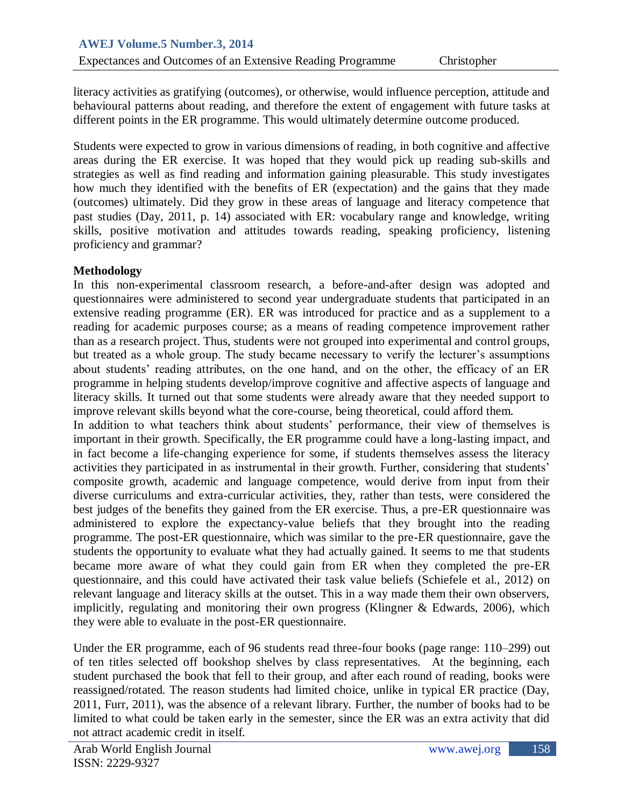literacy activities as gratifying (outcomes), or otherwise, would influence perception, attitude and behavioural patterns about reading, and therefore the extent of engagement with future tasks at different points in the ER programme. This would ultimately determine outcome produced.

Students were expected to grow in various dimensions of reading, in both cognitive and affective areas during the ER exercise. It was hoped that they would pick up reading sub-skills and strategies as well as find reading and information gaining pleasurable. This study investigates how much they identified with the benefits of ER (expectation) and the gains that they made (outcomes) ultimately. Did they grow in these areas of language and literacy competence that past studies (Day, 2011, p. 14) associated with ER: vocabulary range and knowledge, writing skills, positive motivation and attitudes towards reading, speaking proficiency, listening proficiency and grammar?

## **Methodology**

In this non-experimental classroom research, a before-and-after design was adopted and questionnaires were administered to second year undergraduate students that participated in an extensive reading programme (ER). ER was introduced for practice and as a supplement to a reading for academic purposes course; as a means of reading competence improvement rather than as a research project. Thus, students were not grouped into experimental and control groups, but treated as a whole group. The study became necessary to verify the lecturer's assumptions about students' reading attributes, on the one hand, and on the other, the efficacy of an ER programme in helping students develop/improve cognitive and affective aspects of language and literacy skills. It turned out that some students were already aware that they needed support to improve relevant skills beyond what the core-course, being theoretical, could afford them.

In addition to what teachers think about students' performance, their view of themselves is important in their growth. Specifically, the ER programme could have a long-lasting impact, and in fact become a life-changing experience for some, if students themselves assess the literacy activities they participated in as instrumental in their growth. Further, considering that students' composite growth, academic and language competence, would derive from input from their diverse curriculums and extra-curricular activities, they, rather than tests, were considered the best judges of the benefits they gained from the ER exercise. Thus, a pre-ER questionnaire was administered to explore the expectancy-value beliefs that they brought into the reading programme. The post-ER questionnaire, which was similar to the pre-ER questionnaire, gave the students the opportunity to evaluate what they had actually gained. It seems to me that students became more aware of what they could gain from ER when they completed the pre-ER questionnaire, and this could have activated their task value beliefs (Schiefele et al., 2012) on relevant language and literacy skills at the outset. This in a way made them their own observers, implicitly, regulating and monitoring their own progress (Klingner & Edwards, 2006), which they were able to evaluate in the post-ER questionnaire.

Under the ER programme, each of 96 students read three-four books (page range: 110–299) out of ten titles selected off bookshop shelves by class representatives. At the beginning, each student purchased the book that fell to their group, and after each round of reading, books were reassigned/rotated. The reason students had limited choice, unlike in typical ER practice (Day, 2011, Furr, 2011), was the absence of a relevant library. Further, the number of books had to be limited to what could be taken early in the semester, since the ER was an extra activity that did not attract academic credit in itself.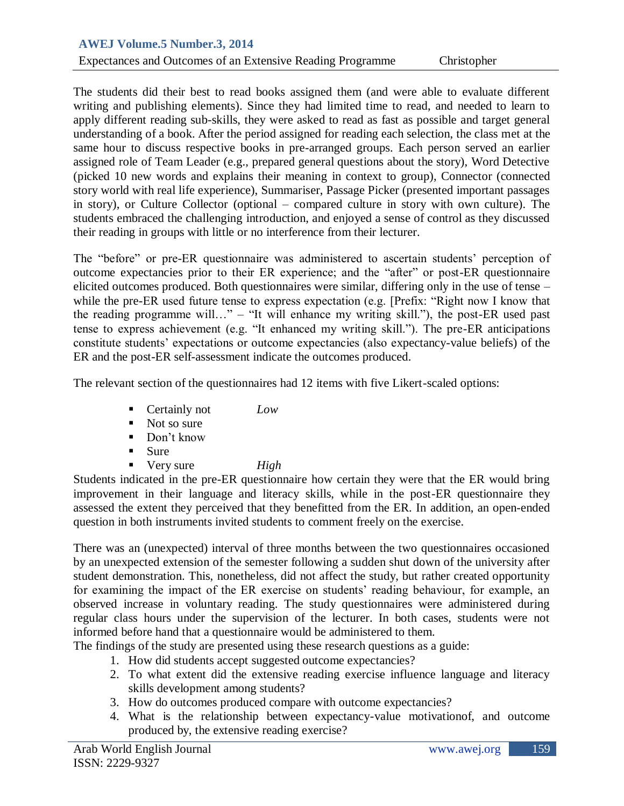## Expectances and Outcomes of an Extensive Reading Programme Christopher

The students did their best to read books assigned them (and were able to evaluate different writing and publishing elements). Since they had limited time to read, and needed to learn to apply different reading sub-skills, they were asked to read as fast as possible and target general understanding of a book. After the period assigned for reading each selection, the class met at the same hour to discuss respective books in pre-arranged groups. Each person served an earlier assigned role of Team Leader (e.g., prepared general questions about the story), Word Detective (picked 10 new words and explains their meaning in context to group), Connector (connected story world with real life experience), Summariser, Passage Picker (presented important passages in story), or Culture Collector (optional – compared culture in story with own culture). The students embraced the challenging introduction, and enjoyed a sense of control as they discussed their reading in groups with little or no interference from their lecturer.

The "before" or pre-ER questionnaire was administered to ascertain students' perception of outcome expectancies prior to their ER experience; and the "after" or post-ER questionnaire elicited outcomes produced. Both questionnaires were similar, differing only in the use of tense – while the pre-ER used future tense to express expectation (e.g. [Prefix: "Right now I know that the reading programme will…" – "It will enhance my writing skill."), the post-ER used past tense to express achievement (e.g. "It enhanced my writing skill."). The pre-ER anticipations constitute students' expectations or outcome expectancies (also expectancy-value beliefs) of the ER and the post-ER self-assessment indicate the outcomes produced.

The relevant section of the questionnaires had 12 items with five Likert-scaled options:

- **Certainly not** *Low*
- $\blacksquare$  Not so sure
- Don't know
- $\blacksquare$  Sure
- Very sure *High*

Students indicated in the pre-ER questionnaire how certain they were that the ER would bring improvement in their language and literacy skills, while in the post-ER questionnaire they assessed the extent they perceived that they benefitted from the ER. In addition, an open-ended question in both instruments invited students to comment freely on the exercise.

There was an (unexpected) interval of three months between the two questionnaires occasioned by an unexpected extension of the semester following a sudden shut down of the university after student demonstration. This, nonetheless, did not affect the study, but rather created opportunity for examining the impact of the ER exercise on students' reading behaviour, for example, an observed increase in voluntary reading. The study questionnaires were administered during regular class hours under the supervision of the lecturer. In both cases, students were not informed before hand that a questionnaire would be administered to them.

The findings of the study are presented using these research questions as a guide:

- 1. How did students accept suggested outcome expectancies?
- 2. To what extent did the extensive reading exercise influence language and literacy skills development among students?
- 3. How do outcomes produced compare with outcome expectancies?
- 4. What is the relationship between expectancy-value motivationof, and outcome produced by, the extensive reading exercise?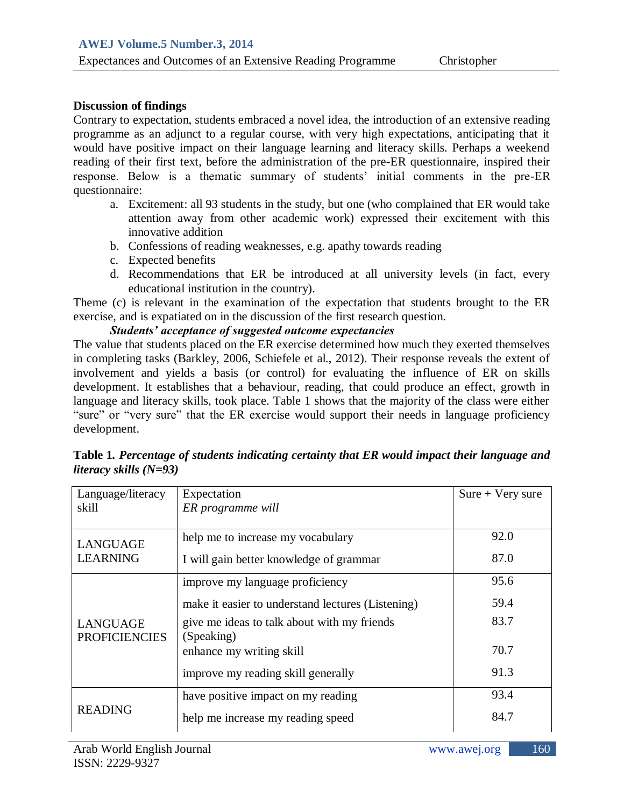## **Discussion of findings**

Contrary to expectation, students embraced a novel idea, the introduction of an extensive reading programme as an adjunct to a regular course, with very high expectations, anticipating that it would have positive impact on their language learning and literacy skills. Perhaps a weekend reading of their first text, before the administration of the pre-ER questionnaire, inspired their response. Below is a thematic summary of students' initial comments in the pre-ER questionnaire:

- a. Excitement: all 93 students in the study, but one (who complained that ER would take attention away from other academic work) expressed their excitement with this innovative addition
- b. Confessions of reading weaknesses, e.g. apathy towards reading
- c. Expected benefits
- d. Recommendations that ER be introduced at all university levels (in fact, every educational institution in the country).

Theme (c) is relevant in the examination of the expectation that students brought to the ER exercise, and is expatiated on in the discussion of the first research question.

## *Students' acceptance of suggested outcome expectancies*

The value that students placed on the ER exercise determined how much they exerted themselves in completing tasks (Barkley, 2006, Schiefele et al., 2012). Their response reveals the extent of involvement and yields a basis (or control) for evaluating the influence of ER on skills development. It establishes that a behaviour, reading, that could produce an effect, growth in language and literacy skills, took place. Table 1 shows that the majority of the class were either "sure" or "very sure" that the ER exercise would support their needs in language proficiency development.

| Language/literacy<br>skill              | Expectation<br>ER programme will                          | $Sure + Very sure$ |
|-----------------------------------------|-----------------------------------------------------------|--------------------|
| <b>LANGUAGE</b>                         | help me to increase my vocabulary                         | 92.0               |
| <b>LEARNING</b>                         | I will gain better knowledge of grammar                   | 87.0               |
|                                         | improve my language proficiency                           | 95.6               |
|                                         | make it easier to understand lectures (Listening)         | 59.4               |
| <b>LANGUAGE</b><br><b>PROFICIENCIES</b> | give me ideas to talk about with my friends<br>(Speaking) | 83.7               |
|                                         | enhance my writing skill                                  | 70.7               |
|                                         | improve my reading skill generally                        | 91.3               |
|                                         | have positive impact on my reading                        | 93.4               |
| <b>READING</b>                          | help me increase my reading speed                         | 84.7               |

**Table 1***. Percentage of students indicating certainty that ER would impact their language and literacy skills (N=93)*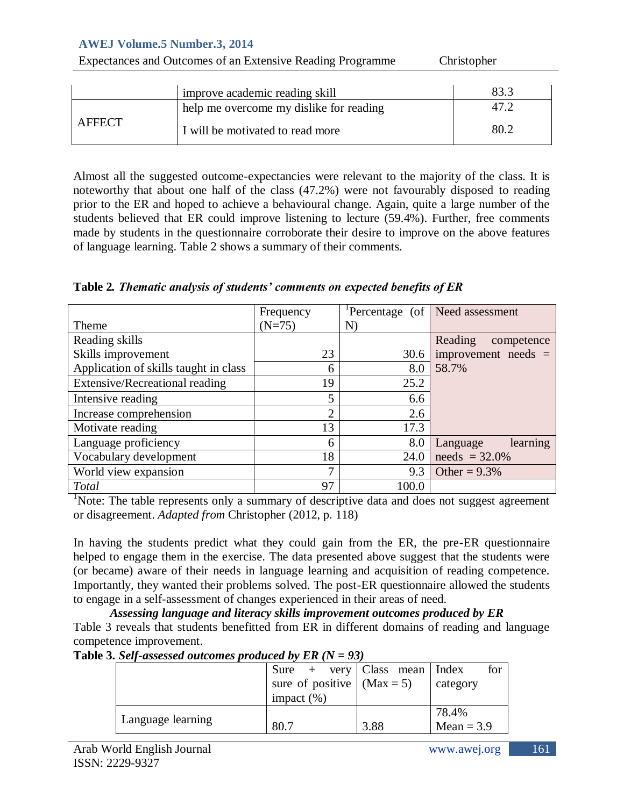| Expectances and Outcomes of an Extensive Reading Programme | Christopher                             |      |
|------------------------------------------------------------|-----------------------------------------|------|
|                                                            |                                         |      |
|                                                            | improve academic reading skill          | 83.3 |
|                                                            | help me overcome my dislike for reading | 47.2 |
| <b>AFFECT</b>                                              | I will be motivated to read more        | 80.2 |

Almost all the suggested outcome-expectancies were relevant to the majority of the class. It is noteworthy that about one half of the class (47.2%) were not favourably disposed to reading prior to the ER and hoped to achieve a behavioural change. Again, quite a large number of the students believed that ER could improve listening to lecture (59.4%). Further, free comments made by students in the questionnaire corroborate their desire to improve on the above features of language learning. Table 2 shows a summary of their comments.

|  | Table 2. Thematic analysis of students' comments on expected benefits of ER |
|--|-----------------------------------------------------------------------------|
|  |                                                                             |

|                                       | Frequency |       | Percentage (of   Need assessment |
|---------------------------------------|-----------|-------|----------------------------------|
| Theme                                 | $(N=75)$  | N)    |                                  |
| Reading skills                        |           |       | Reading<br>competence            |
| Skills improvement                    | 23        | 30.6  | improvement needs $=$            |
| Application of skills taught in class | 6         | 8.0   | 58.7%                            |
| Extensive/Recreational reading        | 19        | 25.2  |                                  |
| Intensive reading                     | 5         | 6.6   |                                  |
| Increase comprehension                | ◠         | 2.6   |                                  |
| Motivate reading                      | 13        | 17.3  |                                  |
| Language proficiency                  | 6         | 8.0   | learning<br>Language             |
| Vocabulary development                | 18        | 24.0  | $needs = 32.0\%$                 |
| World view expansion                  | 7         | 9.3   | Other = $9.3\%$                  |
| <b>Total</b>                          | 97        | 100.0 |                                  |

<sup>1</sup>Note: The table represents only a summary of descriptive data and does not suggest agreement or disagreement. *Adapted from* Christopher (2012, p. 118)

In having the students predict what they could gain from the ER, the pre-ER questionnaire helped to engage them in the exercise. The data presented above suggest that the students were (or became) aware of their needs in language learning and acquisition of reading competence. Importantly, they wanted their problems solved. The post-ER questionnaire allowed the students to engage in a self-assessment of changes experienced in their areas of need.

*Assessing language and literacy skills improvement outcomes produced by ER* Table 3 reveals that students benefitted from ER in different domains of reading and language competence improvement.

**Table 3.** *Self-assessed outcomes produced by ER (N = 93)*

|                   | $Sure + very   Class mean   Index$ |      | for          |  |  |  |
|-------------------|------------------------------------|------|--------------|--|--|--|
|                   | sure of positive $\vert$ (Max = 5) |      | category     |  |  |  |
|                   | impact $(\% )$                     |      |              |  |  |  |
|                   |                                    |      | 78.4%        |  |  |  |
| Language learning | 80 7                               | 3.88 | Mean = $3.9$ |  |  |  |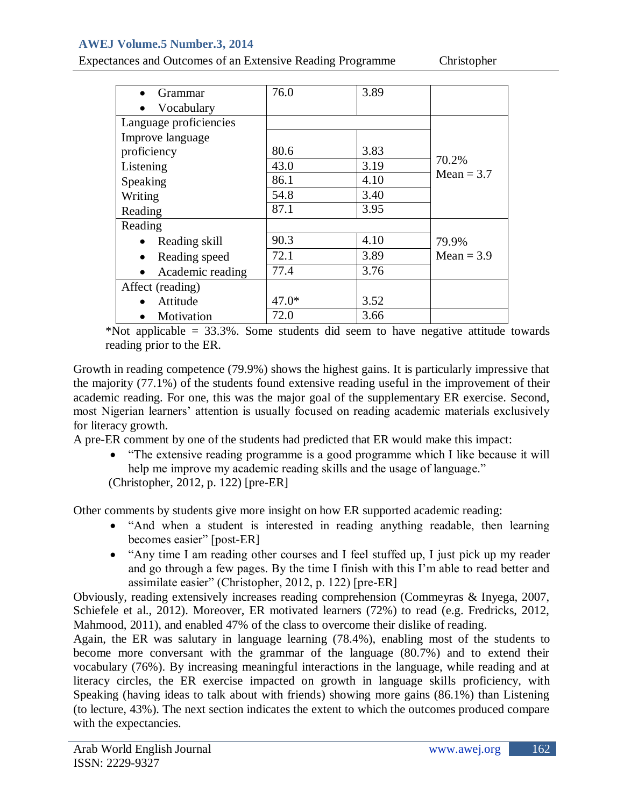| Expectances and Outcomes of an Extensive Reading Programme |  |  |  |
|------------------------------------------------------------|--|--|--|
|                                                            |  |  |  |

Christopher

| Grammar                | 76.0    | 3.89 |              |
|------------------------|---------|------|--------------|
| Vocabulary             |         |      |              |
| Language proficiencies |         |      |              |
| Improve language       |         |      |              |
| proficiency            | 80.6    | 3.83 |              |
| Listening              | 43.0    | 3.19 | 70.2%        |
| Speaking               | 86.1    | 4.10 | $Mean = 3.7$ |
| Writing                | 54.8    | 3.40 |              |
| Reading                | 87.1    | 3.95 |              |
| Reading                |         |      |              |
| Reading skill          | 90.3    | 4.10 | 79.9%        |
| Reading speed          | 72.1    | 3.89 | Mean $=$ 3.9 |
| Academic reading       | 77.4    | 3.76 |              |
| Affect (reading)       |         |      |              |
| Attitude               | $47.0*$ | 3.52 |              |
| Motivation             | 72.0    | 3.66 |              |

\*Not applicable = 33.3%. Some students did seem to have negative attitude towards reading prior to the ER.

Growth in reading competence (79.9%) shows the highest gains. It is particularly impressive that the majority (77.1%) of the students found extensive reading useful in the improvement of their academic reading. For one, this was the major goal of the supplementary ER exercise. Second, most Nigerian learners' attention is usually focused on reading academic materials exclusively for literacy growth.

A pre-ER comment by one of the students had predicted that ER would make this impact:

 "The extensive reading programme is a good programme which I like because it will help me improve my academic reading skills and the usage of language."

(Christopher, 2012, p. 122) [pre-ER]

Other comments by students give more insight on how ER supported academic reading:

- "And when a student is interested in reading anything readable, then learning becomes easier" [post-ER]
- "Any time I am reading other courses and I feel stuffed up, I just pick up my reader and go through a few pages. By the time I finish with this I'm able to read better and assimilate easier" (Christopher, 2012, p. 122) [pre-ER]

Obviously, reading extensively increases reading comprehension (Commeyras & Inyega, 2007, Schiefele et al., 2012). Moreover, ER motivated learners (72%) to read (e.g. Fredricks, 2012, Mahmood, 2011), and enabled 47% of the class to overcome their dislike of reading.

Again, the ER was salutary in language learning (78.4%), enabling most of the students to become more conversant with the grammar of the language (80.7%) and to extend their vocabulary (76%). By increasing meaningful interactions in the language, while reading and at literacy circles, the ER exercise impacted on growth in language skills proficiency, with Speaking (having ideas to talk about with friends) showing more gains (86.1%) than Listening (to lecture, 43%). The next section indicates the extent to which the outcomes produced compare with the expectancies.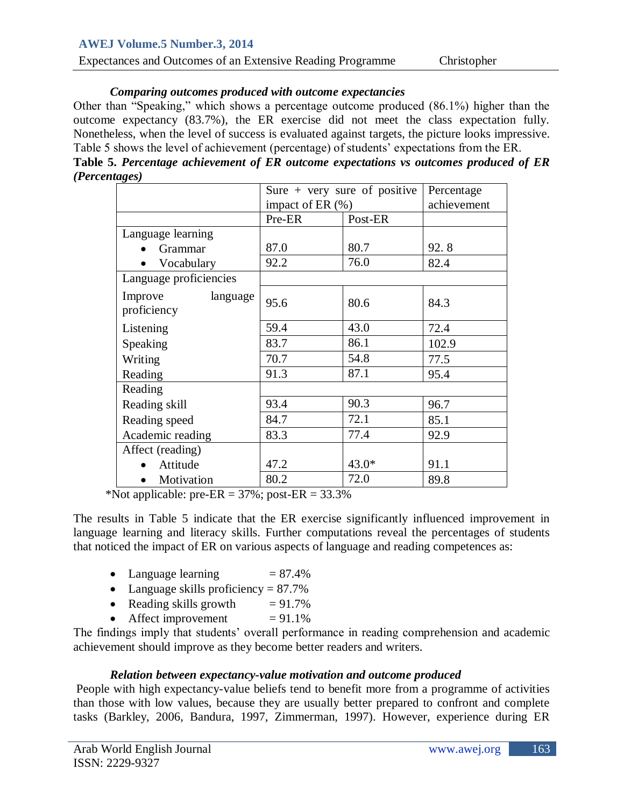| Expectances and Outcomes of an Extensive Reading Programme<br>Christopher |
|---------------------------------------------------------------------------|
|---------------------------------------------------------------------------|

## *Comparing outcomes produced with outcome expectancies*

Other than "Speaking," which shows a percentage outcome produced (86.1%) higher than the outcome expectancy (83.7%), the ER exercise did not meet the class expectation fully. Nonetheless, when the level of success is evaluated against targets, the picture looks impressive. Table 5 shows the level of achievement (percentage) of students' expectations from the ER. **Table 5.** *Percentage achievement of ER outcome expectations vs outcomes produced of ER* 

|                                    |                      | Sure $+$ very sure of positive | Percentage  |
|------------------------------------|----------------------|--------------------------------|-------------|
|                                    | impact of ER $(\% )$ |                                | achievement |
|                                    | Pre-ER               | Post-ER                        |             |
| Language learning                  |                      |                                |             |
| Grammar                            | 87.0                 | 80.7                           | 92.8        |
| Vocabulary                         | 92.2                 | 76.0                           | 82.4        |
| Language proficiencies             |                      |                                |             |
| language<br>Improve<br>proficiency | 95.6                 | 80.6                           | 84.3        |
| Listening                          | 59.4                 | 43.0                           | 72.4        |
| Speaking                           | 83.7                 | 86.1                           | 102.9       |
| Writing                            | 70.7                 | 54.8                           | 77.5        |
| Reading                            | 91.3                 | 87.1                           | 95.4        |
| Reading                            |                      |                                |             |
| Reading skill                      | 93.4                 | 90.3                           | 96.7        |
| Reading speed                      | 84.7                 | 72.1                           | 85.1        |
| Academic reading                   | 83.3                 | 77.4                           | 92.9        |
| Affect (reading)                   |                      |                                |             |
| Attitude                           | 47.2                 | $43.0*$                        | 91.1        |
| Motivation                         | 80.2                 | 72.0                           | 89.8        |

\*Not applicable: pre-ER =  $37\%$ ; post-ER =  $33.3\%$ 

The results in Table 5 indicate that the ER exercise significantly influenced improvement in language learning and literacy skills. Further computations reveal the percentages of students that noticed the impact of ER on various aspects of language and reading competences as:

- Language learning  $= 87.4\%$
- Language skills proficiency  $= 87.7\%$
- Reading skills growth  $= 91.7\%$
- Affect improvement  $= 91.1\%$

The findings imply that students' overall performance in reading comprehension and academic achievement should improve as they become better readers and writers.

## *Relation between expectancy-value motivation and outcome produced*

People with high expectancy-value beliefs tend to benefit more from a programme of activities than those with low values, because they are usually better prepared to confront and complete tasks (Barkley, 2006, Bandura, 1997, Zimmerman, 1997). However, experience during ER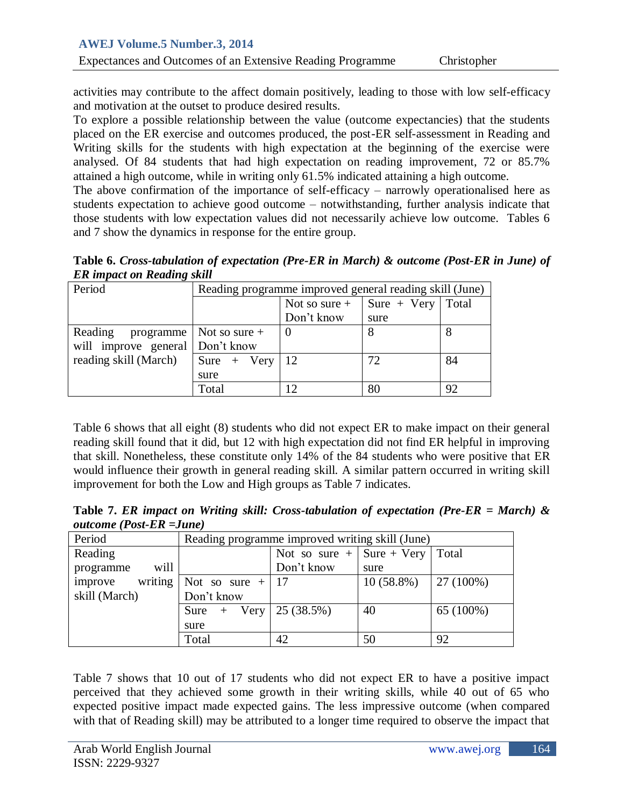activities may contribute to the affect domain positively, leading to those with low self-efficacy and motivation at the outset to produce desired results.

To explore a possible relationship between the value (outcome expectancies) that the students placed on the ER exercise and outcomes produced, the post-ER self-assessment in Reading and Writing skills for the students with high expectation at the beginning of the exercise were analysed. Of 84 students that had high expectation on reading improvement, 72 or 85.7% attained a high outcome, while in writing only 61.5% indicated attaining a high outcome.

The above confirmation of the importance of self-efficacy – narrowly operationalised here as students expectation to achieve good outcome – notwithstanding, further analysis indicate that those students with low expectation values did not necessarily achieve low outcome. Tables 6 and 7 show the dynamics in response for the entire group.

**Table 6.** *Cross-tabulation of expectation (Pre-ER in March) & outcome (Post-ER in June) of ER impact on Reading skill*

| Period                          | Reading programme improved general reading skill (June) |                 |                     |    |  |
|---------------------------------|---------------------------------------------------------|-----------------|---------------------|----|--|
|                                 |                                                         | Not so sure $+$ | Sure + Very   Total |    |  |
|                                 |                                                         | Don't know      | sure                |    |  |
| Reading                         | programme   Not so sure +                               |                 |                     |    |  |
| will improve general Don't know |                                                         |                 |                     |    |  |
| reading skill (March)           | Sure $+$ Very                                           | -12             | 72                  | 84 |  |
|                                 | sure                                                    |                 |                     |    |  |
|                                 | Total                                                   | 12              | 80                  | 92 |  |

Table 6 shows that all eight (8) students who did not expect ER to make impact on their general reading skill found that it did, but 12 with high expectation did not find ER helpful in improving that skill. Nonetheless, these constitute only 14% of the 84 students who were positive that ER would influence their growth in general reading skill. A similar pattern occurred in writing skill improvement for both the Low and High groups as Table 7 indicates.

**Table 7.** *ER impact on Writing skill: Cross-tabulation of expectation (Pre-ER = March) & outcome (Post-ER =June)*

| Period             |                    | Reading programme improved writing skill (June) |               |           |  |  |
|--------------------|--------------------|-------------------------------------------------|---------------|-----------|--|--|
| Reading            |                    | Not so sure $+$                                 | $Sure + Very$ | Total     |  |  |
| will<br>programme  |                    | Don't know                                      | sure          |           |  |  |
| writing<br>improve | Not so sure $+$ 17 |                                                 | $10(58.8\%)$  | 27 (100%) |  |  |
| skill (March)      | Don't know         |                                                 |               |           |  |  |
|                    | Very<br>Sure       | 25 (38.5%)                                      | 40            | 65 (100%) |  |  |
|                    | sure               |                                                 |               |           |  |  |
|                    | Total              | 42                                              | 50            | 92        |  |  |

Table 7 shows that 10 out of 17 students who did not expect ER to have a positive impact perceived that they achieved some growth in their writing skills, while 40 out of 65 who expected positive impact made expected gains. The less impressive outcome (when compared with that of Reading skill) may be attributed to a longer time required to observe the impact that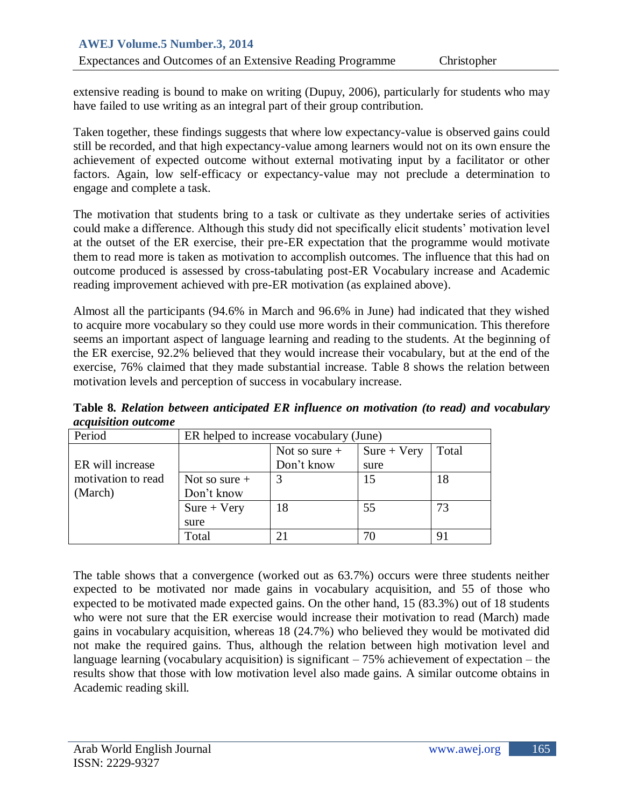extensive reading is bound to make on writing (Dupuy, 2006), particularly for students who may have failed to use writing as an integral part of their group contribution.

Taken together, these findings suggests that where low expectancy-value is observed gains could still be recorded, and that high expectancy-value among learners would not on its own ensure the achievement of expected outcome without external motivating input by a facilitator or other factors. Again, low self-efficacy or expectancy-value may not preclude a determination to engage and complete a task.

The motivation that students bring to a task or cultivate as they undertake series of activities could make a difference. Although this study did not specifically elicit students' motivation level at the outset of the ER exercise, their pre-ER expectation that the programme would motivate them to read more is taken as motivation to accomplish outcomes. The influence that this had on outcome produced is assessed by cross-tabulating post-ER Vocabulary increase and Academic reading improvement achieved with pre-ER motivation (as explained above).

Almost all the participants (94.6% in March and 96.6% in June) had indicated that they wished to acquire more vocabulary so they could use more words in their communication. This therefore seems an important aspect of language learning and reading to the students. At the beginning of the ER exercise, 92.2% believed that they would increase their vocabulary, but at the end of the exercise, 76% claimed that they made substantial increase. Table 8 shows the relation between motivation levels and perception of success in vocabulary increase.

**Table 8***. Relation between anticipated ER influence on motivation (to read) and vocabulary acquisition outcome*

| Period             | ER helped to increase vocabulary (June) |                 |               |       |
|--------------------|-----------------------------------------|-----------------|---------------|-------|
|                    |                                         | Not so sure $+$ | $Sure + Very$ | Total |
| ER will increase   |                                         | Don't know      | sure          |       |
| motivation to read | Not so sure $+$                         |                 | 15            | 18    |
| (March)            | Don't know                              |                 |               |       |
|                    | $Sure + Very$                           | 18              | 55            | 73    |
|                    | sure                                    |                 |               |       |
|                    | Total                                   | 21              | 70            | 91    |

The table shows that a convergence (worked out as 63.7%) occurs were three students neither expected to be motivated nor made gains in vocabulary acquisition, and 55 of those who expected to be motivated made expected gains. On the other hand, 15 (83.3%) out of 18 students who were not sure that the ER exercise would increase their motivation to read (March) made gains in vocabulary acquisition, whereas 18 (24.7%) who believed they would be motivated did not make the required gains. Thus, although the relation between high motivation level and language learning (vocabulary acquisition) is significant  $-75%$  achievement of expectation – the results show that those with low motivation level also made gains. A similar outcome obtains in Academic reading skill.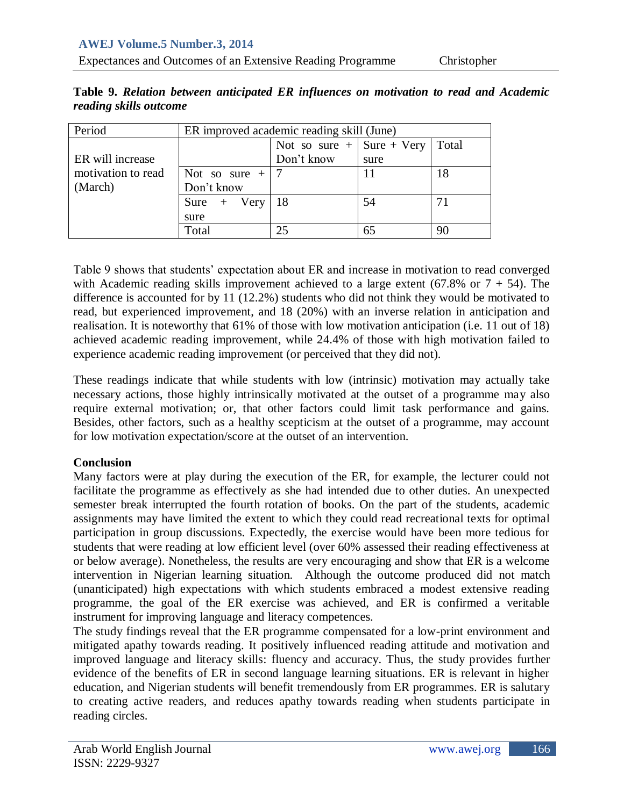| Period             | ER improved academic reading skill (June) |                             |      |       |
|--------------------|-------------------------------------------|-----------------------------|------|-------|
|                    |                                           | Not so sure $+$ Sure + Very |      | Total |
| ER will increase   |                                           | Don't know                  | sure |       |
| motivation to read | Not so sure $+$                           |                             |      | 18    |
| (March)            | Don't know                                |                             |      |       |
|                    | Sure $+$ Very                             | 18                          | 54   | 71    |
|                    | sure                                      |                             |      |       |
|                    | Total                                     | 25                          |      | 90    |

**Table 9.** *Relation between anticipated ER influences on motivation to read and Academic reading skills outcome*

Table 9 shows that students' expectation about ER and increase in motivation to read converged with Academic reading skills improvement achieved to a large extent (67.8% or  $7 + 54$ ). The difference is accounted for by 11 (12.2%) students who did not think they would be motivated to read, but experienced improvement, and 18 (20%) with an inverse relation in anticipation and realisation. It is noteworthy that 61% of those with low motivation anticipation (i.e. 11 out of 18) achieved academic reading improvement, while 24.4% of those with high motivation failed to experience academic reading improvement (or perceived that they did not).

These readings indicate that while students with low (intrinsic) motivation may actually take necessary actions, those highly intrinsically motivated at the outset of a programme may also require external motivation; or, that other factors could limit task performance and gains. Besides, other factors, such as a healthy scepticism at the outset of a programme, may account for low motivation expectation/score at the outset of an intervention.

## **Conclusion**

Many factors were at play during the execution of the ER, for example, the lecturer could not facilitate the programme as effectively as she had intended due to other duties. An unexpected semester break interrupted the fourth rotation of books. On the part of the students, academic assignments may have limited the extent to which they could read recreational texts for optimal participation in group discussions. Expectedly, the exercise would have been more tedious for students that were reading at low efficient level (over 60% assessed their reading effectiveness at or below average). Nonetheless, the results are very encouraging and show that ER is a welcome intervention in Nigerian learning situation. Although the outcome produced did not match (unanticipated) high expectations with which students embraced a modest extensive reading programme, the goal of the ER exercise was achieved, and ER is confirmed a veritable instrument for improving language and literacy competences.

The study findings reveal that the ER programme compensated for a low-print environment and mitigated apathy towards reading. It positively influenced reading attitude and motivation and improved language and literacy skills: fluency and accuracy. Thus, the study provides further evidence of the benefits of ER in second language learning situations. ER is relevant in higher education, and Nigerian students will benefit tremendously from ER programmes. ER is salutary to creating active readers, and reduces apathy towards reading when students participate in reading circles.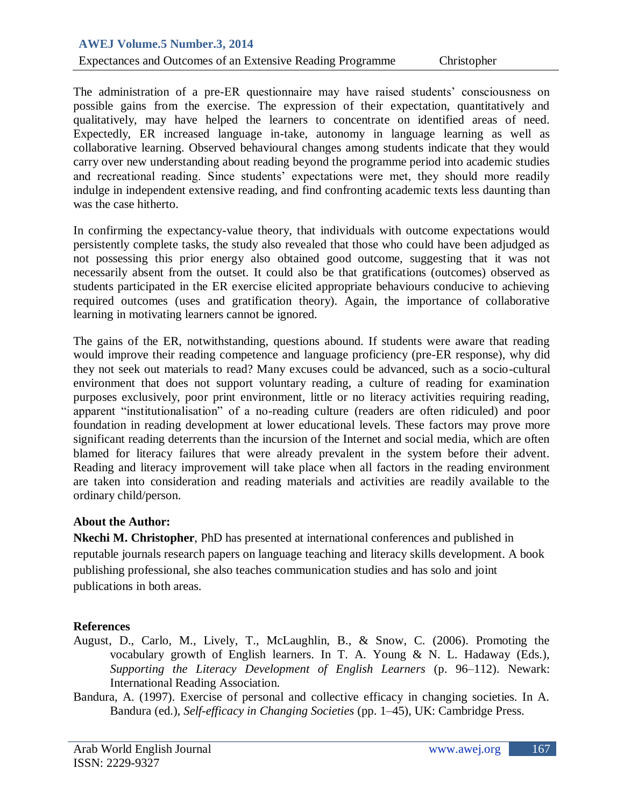#### Expectances and Outcomes of an Extensive Reading Programme Christopher

The administration of a pre-ER questionnaire may have raised students' consciousness on possible gains from the exercise. The expression of their expectation, quantitatively and qualitatively, may have helped the learners to concentrate on identified areas of need. Expectedly, ER increased language in-take, autonomy in language learning as well as collaborative learning. Observed behavioural changes among students indicate that they would carry over new understanding about reading beyond the programme period into academic studies and recreational reading. Since students' expectations were met, they should more readily indulge in independent extensive reading, and find confronting academic texts less daunting than was the case hitherto.

In confirming the expectancy-value theory, that individuals with outcome expectations would persistently complete tasks, the study also revealed that those who could have been adjudged as not possessing this prior energy also obtained good outcome, suggesting that it was not necessarily absent from the outset. It could also be that gratifications (outcomes) observed as students participated in the ER exercise elicited appropriate behaviours conducive to achieving required outcomes (uses and gratification theory). Again, the importance of collaborative learning in motivating learners cannot be ignored.

The gains of the ER, notwithstanding, questions abound. If students were aware that reading would improve their reading competence and language proficiency (pre-ER response), why did they not seek out materials to read? Many excuses could be advanced, such as a socio-cultural environment that does not support voluntary reading, a culture of reading for examination purposes exclusively, poor print environment, little or no literacy activities requiring reading, apparent "institutionalisation" of a no-reading culture (readers are often ridiculed) and poor foundation in reading development at lower educational levels. These factors may prove more significant reading deterrents than the incursion of the Internet and social media, which are often blamed for literacy failures that were already prevalent in the system before their advent. Reading and literacy improvement will take place when all factors in the reading environment are taken into consideration and reading materials and activities are readily available to the ordinary child/person.

#### **About the Author:**

**Nkechi M. Christopher**, PhD has presented at international conferences and published in reputable journals research papers on language teaching and literacy skills development. A book publishing professional, she also teaches communication studies and has solo and joint publications in both areas.

## **References**

- August, D., Carlo, M., Lively, T., McLaughlin, B., & Snow, C. (2006). Promoting the vocabulary growth of English learners. In T. A. Young & N. L. Hadaway (Eds.), *Supporting the Literacy Development of English Learners* (p. 96–112). Newark: International Reading Association.
- Bandura, A. (1997). Exercise of personal and collective efficacy in changing societies. In A. Bandura (ed.), *Self-efficacy in Changing Societies* (pp. 1–45), UK: Cambridge Press.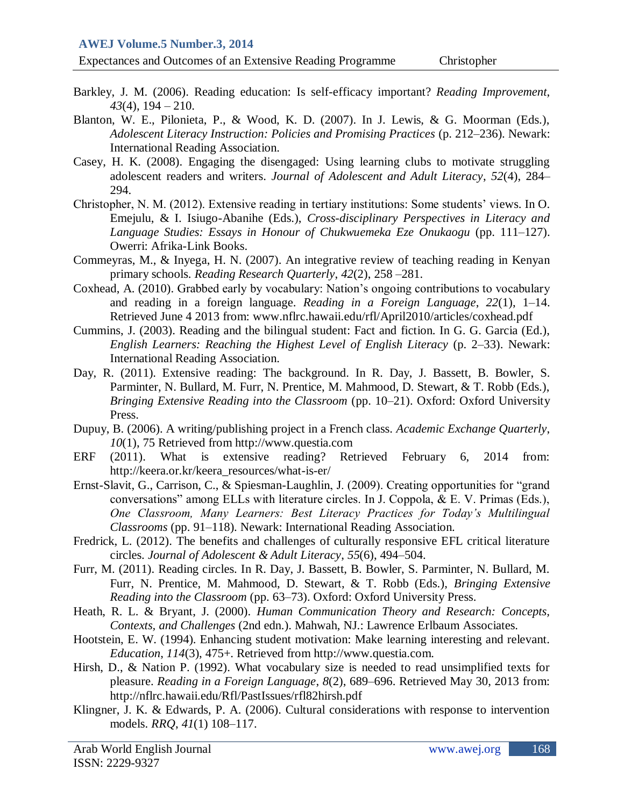Expectances and Outcomes of an Extensive Reading Programme Christopher

- Barkley, J. M. (2006). Reading education: Is self-efficacy important? *Reading Improvement*, *43*(4), 194 – 210.
- Blanton, W. E., Pilonieta, P., & Wood, K. D. (2007). In J. Lewis, & G. Moorman (Eds.), *Adolescent Literacy Instruction: Policies and Promising Practices* (p. 212–236). Newark: International Reading Association.
- Casey, H. K. (2008). Engaging the disengaged: Using learning clubs to motivate struggling adolescent readers and writers. *Journal of Adolescent and Adult Literacy*, *52*(4), 284– 294.
- Christopher, N. M. (2012). Extensive reading in tertiary institutions: Some students' views. In O. Emejulu, & I. Isiugo-Abanihe (Eds.), *Cross-disciplinary Perspectives in Literacy and Language Studies: Essays in Honour of Chukwuemeka Eze Onukaogu* (pp. 111–127). Owerri: Afrika-Link Books.
- Commeyras, M., & Inyega, H. N. (2007). An integrative review of teaching reading in Kenyan primary schools. *Reading Research Quarterly*, *42*(2), 258 –281.
- Coxhead, A. (2010). Grabbed early by vocabulary: Nation's ongoing contributions to vocabulary and reading in a foreign language. *Reading in a Foreign Language*, *22*(1), 1–14. Retrieved June 4 2013 from: www.nflrc.hawaii.edu/rfl/April2010/articles/coxhead.pdf
- Cummins, J. (2003). Reading and the bilingual student: Fact and fiction. In G. G. Garcia (Ed.), *English Learners: Reaching the Highest Level of English Literacy* (p. 2–33). Newark: International Reading Association.
- Day, R. (2011). Extensive reading: The background. In R. Day, J. Bassett, B. Bowler, S. Parminter, N. Bullard, M. Furr, N. Prentice, M. Mahmood, D. Stewart, & T. Robb (Eds.), *Bringing Extensive Reading into the Classroom* (pp. 10–21). Oxford: Oxford University Press.
- Dupuy, B. (2006). A writing/publishing project in a French class. *Academic Exchange Quarterly*, *10*(1), 75 Retrieved from http://www.questia.com
- ERF (2011). What is extensive reading? Retrieved February 6, 2014 from: http://keera.or.kr/keera\_resources/what-is-er/
- Ernst-Slavit, G., Carrison, C., & Spiesman-Laughlin, J. (2009). Creating opportunities for "grand conversations" among ELLs with literature circles. In J. Coppola, & E. V. Primas (Eds.), *One Classroom, Many Learners: Best Literacy Practices for Today's Multilingual Classrooms* (pp. 91–118). Newark: International Reading Association.
- Fredrick, L. (2012). The benefits and challenges of culturally responsive EFL critical literature circles. *Journal of Adolescent & Adult Literacy*, *55*(6), 494–504.
- Furr, M. (2011). Reading circles. In R. Day, J. Bassett, B. Bowler, S. Parminter, N. Bullard, M. Furr, N. Prentice, M. Mahmood, D. Stewart, & T. Robb (Eds.), *Bringing Extensive Reading into the Classroom* (pp. 63–73). Oxford: Oxford University Press.
- Heath, R. L. & Bryant, J. (2000). *Human Communication Theory and Research: Concepts, Contexts, and Challenges* (2nd edn.). Mahwah, NJ.: Lawrence Erlbaum Associates.
- Hootstein, E. W. (1994). Enhancing student motivation: Make learning interesting and relevant. *Education*, *114*(3), 475+. Retrieved from http://www.questia.com.
- Hirsh, D., & Nation P. (1992). What vocabulary size is needed to read unsimplified texts for pleasure. *Reading in a Foreign Language*, *8*(2), 689–696. Retrieved May 30, 2013 from: http://nflrc.hawaii.edu/Rfl/PastIssues/rfl82hirsh.pdf
- Klingner, J. K. & Edwards, P. A. (2006). Cultural considerations with response to intervention models. *RRQ*, *41*(1) 108–117.